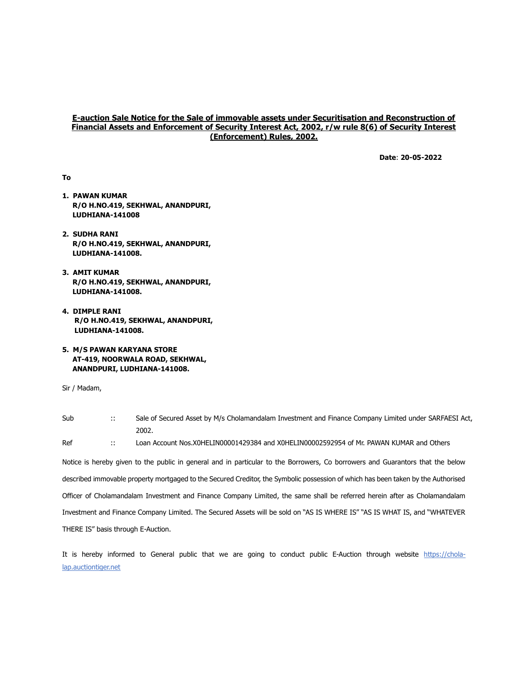## E-auction Sale Notice for the Sale of immovable assets under Securitisation and Reconstruction of Financial Assets and Enforcement of Security Interest Act, 2002, r/w rule 8(6) of Security Interest (Enforcement) Rules, 2002.

Date: 20-05-2022

To

- 1. PAWAN KUMAR R/O H.NO.419, SEKHWAL, ANANDPURI, LUDHIANA-141008
- 2. SUDHA RANI R/O H.NO.419, SEKHWAL, ANANDPURI, LUDHIANA-141008.
- 3. AMIT KUMAR R/O H.NO.419, SEKHWAL, ANANDPURI, LUDHIANA-141008.
- 4. DIMPLE RANI R/O H.NO.419, SEKHWAL, ANANDPURI, LUDHIANA-141008.
- 5. M/S PAWAN KARYANA STORE AT-419, NOORWALA ROAD, SEKHWAL, ANANDPURI, LUDHIANA-141008.

Sir / Madam,

| Sub | Sale of Secured Asset by M/s Cholamandalam Investment and Finance Company Limited under SARFAESI Act, |
|-----|-------------------------------------------------------------------------------------------------------|
|     | 2002                                                                                                  |

Ref :: Loan Account Nos.X0HELIN00001429384 and X0HELIN00002592954 of Mr. PAWAN KUMAR and Others

Notice is hereby given to the public in general and in particular to the Borrowers, Co borrowers and Guarantors that the below described immovable property mortgaged to the Secured Creditor, the Symbolic possession of which has been taken by the Authorised Officer of Cholamandalam Investment and Finance Company Limited, the same shall be referred herein after as Cholamandalam Investment and Finance Company Limited. The Secured Assets will be sold on "AS IS WHERE IS" "AS IS WHAT IS, and "WHATEVER THERE IS" basis through E-Auction.

It is hereby informed to General public that we are going to conduct public E-Auction through website https://cholalap.auctiontiger.net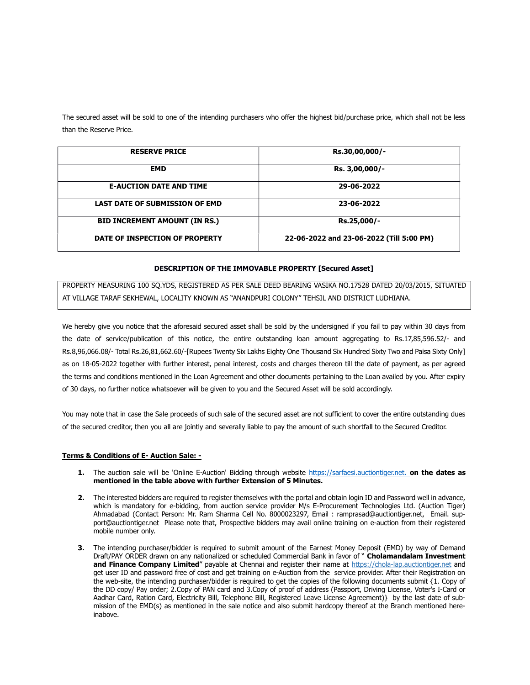The secured asset will be sold to one of the intending purchasers who offer the highest bid/purchase price, which shall not be less than the Reserve Price.

| <b>RESERVE PRICE</b>                  | Rs.30,00,000/-                           |
|---------------------------------------|------------------------------------------|
| <b>EMD</b>                            | Rs. 3,00,000/-                           |
| <b>E-AUCTION DATE AND TIME</b>        | 29-06-2022                               |
| <b>LAST DATE OF SUBMISSION OF EMD</b> | 23-06-2022                               |
| <b>BID INCREMENT AMOUNT (IN RS.)</b>  | Rs.25,000/-                              |
| DATE OF INSPECTION OF PROPERTY        | 22-06-2022 and 23-06-2022 (Till 5:00 PM) |

## DESCRIPTION OF THE IMMOVABLE PROPERTY [Secured Asset]

PROPERTY MEASURING 100 SQ.YDS, REGISTERED AS PER SALE DEED BEARING VASIKA NO.17528 DATED 20/03/2015, SITUATED AT VILLAGE TARAF SEKHEWAL, LOCALITY KNOWN AS "ANANDPURI COLONY" TEHSIL AND DISTRICT LUDHIANA.

We hereby give you notice that the aforesaid secured asset shall be sold by the undersigned if you fail to pay within 30 days from the date of service/publication of this notice, the entire outstanding loan amount aggregating to Rs.17,85,596.52/- and Rs.8,96,066.08/- Total Rs.26,81,662.60/-[Rupees Twenty Six Lakhs Eighty One Thousand Six Hundred Sixty Two and Paisa Sixty Only] as on 18-05-2022 together with further interest, penal interest, costs and charges thereon till the date of payment, as per agreed the terms and conditions mentioned in the Loan Agreement and other documents pertaining to the Loan availed by you. After expiry of 30 days, no further notice whatsoever will be given to you and the Secured Asset will be sold accordingly.

You may note that in case the Sale proceeds of such sale of the secured asset are not sufficient to cover the entire outstanding dues of the secured creditor, then you all are jointly and severally liable to pay the amount of such shortfall to the Secured Creditor.

## Terms & Conditions of E- Auction Sale: -

- 1. The auction sale will be 'Online E-Auction' Bidding through website https://sarfaesi.auctiontiger.net. on the dates as mentioned in the table above with further Extension of 5 Minutes.
- 2. The interested bidders are required to register themselves with the portal and obtain login ID and Password well in advance, which is mandatory for e-bidding, from auction service provider M/s E-Procurement Technologies Ltd. (Auction Tiger) Ahmadabad (Contact Person: Mr. Ram Sharma Cell No. 8000023297, Email : ramprasad@auctiontiger.net, Email. support@auctiontiger.net Please note that, Prospective bidders may avail online training on e-auction from their registered mobile number only.
- 3. The intending purchaser/bidder is required to submit amount of the Earnest Money Deposit (EMD) by way of Demand Draft/PAY ORDER drawn on any nationalized or scheduled Commercial Bank in favor of " Cholamandalam Investment and Finance Company Limited" payable at Chennai and register their name at https://chola-lap.auctiontiger.net and get user ID and password free of cost and get training on e-Auction from the service provider. After their Registration on the web-site, the intending purchaser/bidder is required to get the copies of the following documents submit {1. Copy of the DD copy/ Pay order; 2.Copy of PAN card and 3.Copy of proof of address (Passport, Driving License, Voter's I-Card or Aadhar Card, Ration Card, Electricity Bill, Telephone Bill, Registered Leave License Agreement)} by the last date of submission of the EMD(s) as mentioned in the sale notice and also submit hardcopy thereof at the Branch mentioned hereinabove.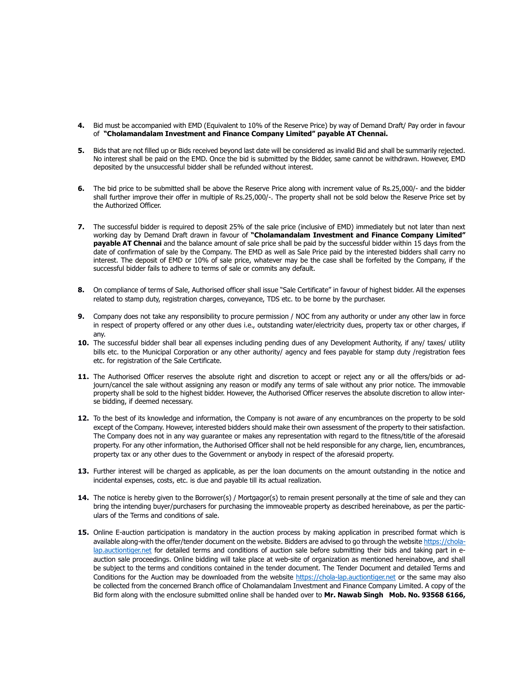- 4. Bid must be accompanied with EMD (Equivalent to 10% of the Reserve Price) by way of Demand Draft/ Pay order in favour of "Cholamandalam Investment and Finance Company Limited" payable AT Chennai.
- 5. Bids that are not filled up or Bids received beyond last date will be considered as invalid Bid and shall be summarily rejected. No interest shall be paid on the EMD. Once the bid is submitted by the Bidder, same cannot be withdrawn. However, EMD deposited by the unsuccessful bidder shall be refunded without interest.
- 6. The bid price to be submitted shall be above the Reserve Price along with increment value of Rs.25,000/- and the bidder shall further improve their offer in multiple of Rs.25,000/-. The property shall not be sold below the Reserve Price set by the Authorized Officer.
- 7. The successful bidder is required to deposit 25% of the sale price (inclusive of EMD) immediately but not later than next working day by Demand Draft drawn in favour of "Cholamandalam Investment and Finance Company Limited" payable AT Chennai and the balance amount of sale price shall be paid by the successful bidder within 15 days from the date of confirmation of sale by the Company. The EMD as well as Sale Price paid by the interested bidders shall carry no interest. The deposit of EMD or 10% of sale price, whatever may be the case shall be forfeited by the Company, if the successful bidder fails to adhere to terms of sale or commits any default.
- 8. On compliance of terms of Sale, Authorised officer shall issue "Sale Certificate" in favour of highest bidder. All the expenses related to stamp duty, registration charges, conveyance, TDS etc. to be borne by the purchaser.
- 9. Company does not take any responsibility to procure permission / NOC from any authority or under any other law in force in respect of property offered or any other dues i.e., outstanding water/electricity dues, property tax or other charges, if any.
- 10. The successful bidder shall bear all expenses including pending dues of any Development Authority, if any/ taxes/ utility bills etc. to the Municipal Corporation or any other authority/ agency and fees payable for stamp duty /registration fees etc. for registration of the Sale Certificate.
- 11. The Authorised Officer reserves the absolute right and discretion to accept or reject any or all the offers/bids or adjourn/cancel the sale without assigning any reason or modify any terms of sale without any prior notice. The immovable property shall be sold to the highest bidder. However, the Authorised Officer reserves the absolute discretion to allow interse bidding, if deemed necessary.
- 12. To the best of its knowledge and information, the Company is not aware of any encumbrances on the property to be sold except of the Company. However, interested bidders should make their own assessment of the property to their satisfaction. The Company does not in any way guarantee or makes any representation with regard to the fitness/title of the aforesaid property. For any other information, the Authorised Officer shall not be held responsible for any charge, lien, encumbrances, property tax or any other dues to the Government or anybody in respect of the aforesaid property.
- 13. Further interest will be charged as applicable, as per the loan documents on the amount outstanding in the notice and incidental expenses, costs, etc. is due and payable till its actual realization.
- 14. The notice is hereby given to the Borrower(s) / Mortgagor(s) to remain present personally at the time of sale and they can bring the intending buyer/purchasers for purchasing the immoveable property as described hereinabove, as per the particulars of the Terms and conditions of sale.
- 15. Online E-auction participation is mandatory in the auction process by making application in prescribed format which is available along-with the offer/tender document on the website. Bidders are advised to go through the website https://cholalap.auctiontiger.net for detailed terms and conditions of auction sale before submitting their bids and taking part in eauction sale proceedings. Online bidding will take place at web-site of organization as mentioned hereinabove, and shall be subject to the terms and conditions contained in the tender document. The Tender Document and detailed Terms and Conditions for the Auction may be downloaded from the website https://chola-lap.auctiontiger.net or the same may also be collected from the concerned Branch office of Cholamandalam Investment and Finance Company Limited. A copy of the Bid form along with the enclosure submitted online shall be handed over to Mr. Nawab Singh Mob. No. 93568 6166,